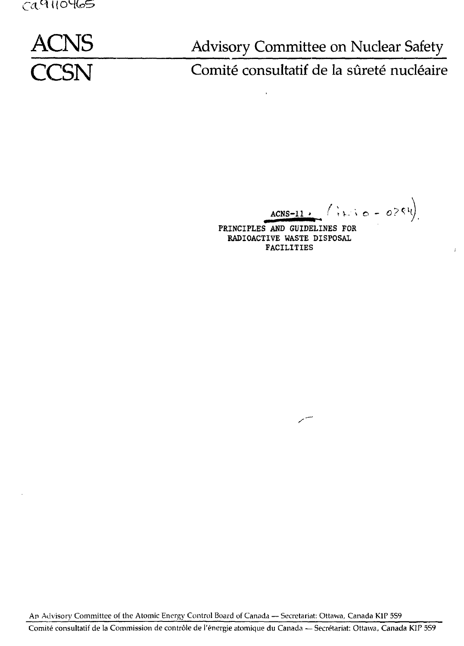

# **NS**

Advisory Committee on Nuclear Safety **COMITE COMITÉ CONSULATE DE LA SURVIET DE LA SURVIET DE LA SURVIET DE LA SURVIET DE LA SURVIET DE LA SURVIET DE** 

ACNS-11.  $(120 - 0284)$ 

 $\bar{I}$ 

PRINCIPLES AND GUIDELINES FOR RADIOACTIVE WASTE DISPOSAL FACILITIES

An Advisory Committee of the Atomic Energy Control Board of Canada — Secretariat: Ottawa, Canada KIP 5S9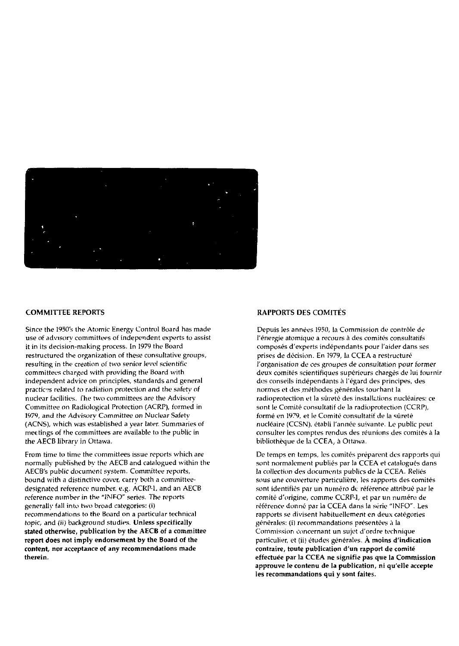

#### **COMMITTEE REPORTS**

Since the 1950's the Atomic Energy Control Board has made use of advisory committees of independent experts to assist it in its decision-making process. In 1979 the Board restructured the organization of these consultative groups, resulting in the creation of two senior level scientific committees charged with providing the Board with independent advice on principles, standards and general practices related to radiation protection and the safety of nuclear facilities. The two committees are the Advisory Committee on Radiological Protection (ACRP), formed in 1979, and the Advisory Committee on Nuclear Safety (ACNS), which was established a year later. Summaries of meetings of the committees are available to the public in the AECB library in Ottawa.

From time to time the committees issue reports which are normally published by the AECB and catalogued within the AECB's public document system. Committee reports, bound with a distinctive cover, carry both a committeedesignated reference number, e.g. ACKP-1, and an AECB reference number in the "INFO" series. The reports generally fall into two broad categories: (i) recommendations to the Board on a particular technical *topic, and* (ii) background studies. **Unless specifically stated otherwise, publication by the AECB of a committee report does not imply endorsement by the Board of the content, nor acceptance of any recommendations made therein.**

#### **RAPPORTS DES COMITÉS**

Depuis les années 1950, la Commission de contrôle de l'énergie atomique a recours à des comités consultatifs composés d'experts indépendants pour l'aider dans ses prises de décision. En 1979, la CCEA a restructuré l'organisation de ces groupes de consultation pour former deux comités scientifiques supérieurs chargés de lui fournir des conseils indépendants à l'égard des principes, des normes et des méthodes générales tournant la radioprotection et la sûreté des installations nucléaires: ce sont le Comité consultatif de la radioprotection (CCRP), formé en 1979, et le Comité consultatif de la sûreté nucléaire (CCSN), établi l'année suivante. Le public peut consulter les comptes rendus des réunions des comités à la bibliothèque de la CCEA, à Ottawa.

De temps en temps, les comités préparent des rapports qui sont normalement publiés par la CCEA et catalogués dans la collection des documents publics de la CCEA. Reliés sous une couverture particulière, les rapports des comités sont identifiés par un numéro de référence attribué par le comité d'origine, comme CCRP-1, et par un numéro de référence donné par la CCEA dans la série "INFO". Les rapports se divisent habituellement en deux catégories générales: (i) recommandations présentées à la Commission concernant un sujet d'ordre technique particulier, et (ii) études générales. **À moins d'indication contraire, toute publication d'un rapport de comité effectuée par la CCEA ne signifie pas que la Commission approuve le contenu de la publication, ni qu'elle accepte les recommandations qui y sont faites.**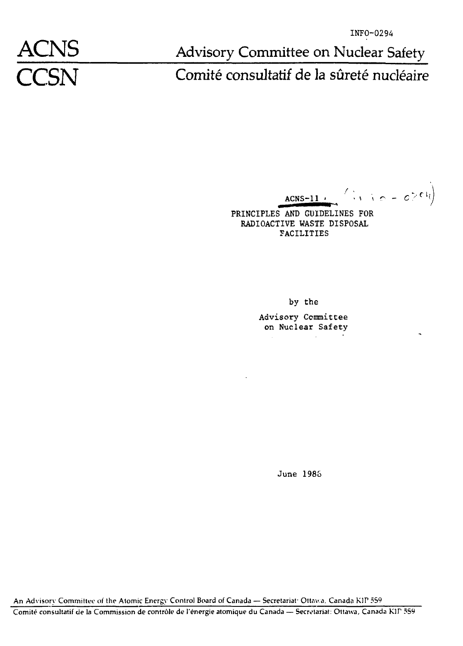Advisory Committee on Nuclear Safety ACNS Advisory Committee on Nuclear Safety<br>
CCSN Comité consultatif de la sûreté nucléaire

ACNS-11  $\cdots$  M  $\cdots$   $\vdots$ 

 $\overline{a}$ 

PRINCIPLES AND GUIDELINES FOR RADIOACTIVE WASTE DISPOSAL FACILITIES

by the

Advisory Committee on Nuclear Safety

June 198S

An Advisory Committee of the Atomic Energy Control Board of Canada — Secretariat- Ottawa. Canada KIT 559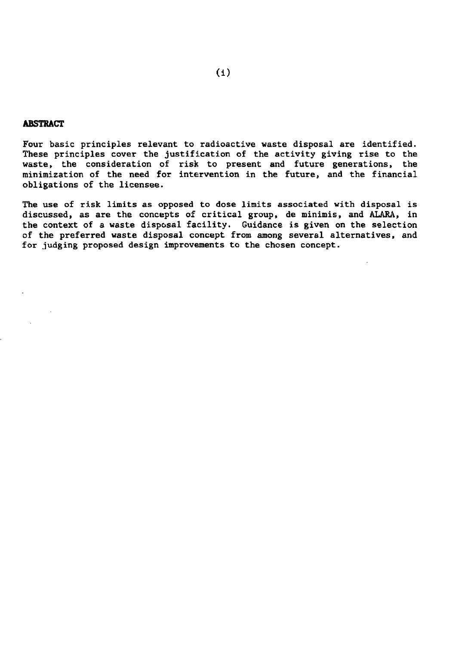#### **ABSTRACT**

Four basic principles relevant to radioactive waste disposal are identified. These principles cover the justification of the activity giving rise to the waste, the consideration of risk to present and future generations, the minimization of the need for intervention in the future, and the financial obligations of the licensee.

The use of risk limits as opposed to dose limits associated with disposal is discussed, as are the concepts of critical group, de minimis, and ALARA, in the context of a waste disposal facility. Guidance is given on the selection of the preferred waste disposal concept from among several alternatives, and for judging proposed design improvements to the chosen concept.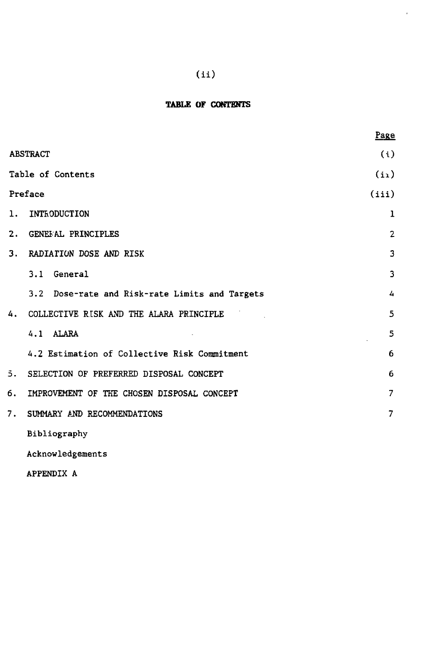**(ii)**

 $\alpha$ 

### **TABLE OF CONTENTS**

|                                                  | Page              |
|--------------------------------------------------|-------------------|
| <b>ABSTRACT</b>                                  | (i)               |
| Table of Contents                                | (i <sub>1</sub> ) |
| Preface                                          | (iii)             |
| 1.<br>INTRODUCTION                               | ı                 |
| 2.<br>GENEFAL PRINCIPLES                         | $\overline{2}$    |
| 3.<br><b>RADIATION DOSE AND RISK</b>             | 3                 |
| General<br>3.1                                   | 3                 |
| 3.2 Dose-rate and Risk-rate Limits and Targets   | 4                 |
| 4.<br>COLLECTIVE RISK AND THE ALARA PRINCIPLE    | 5                 |
| 4.1 ALARA                                        | 5                 |
| 4.2 Estimation of Collective Risk Commitment     | 6                 |
| 3.<br>SELECTION OF PREFERRED DISPOSAL CONCEPT    | 6                 |
| б.<br>IMPROVEMENT OF THE CHOSEN DISPOSAL CONCEPT | $\overline{7}$    |
| 7.<br>SUMMARY AND RECOMMENDATIONS                | $\overline{7}$    |
| Bibliography                                     |                   |
| Acknowledgements                                 |                   |

APPENDIX A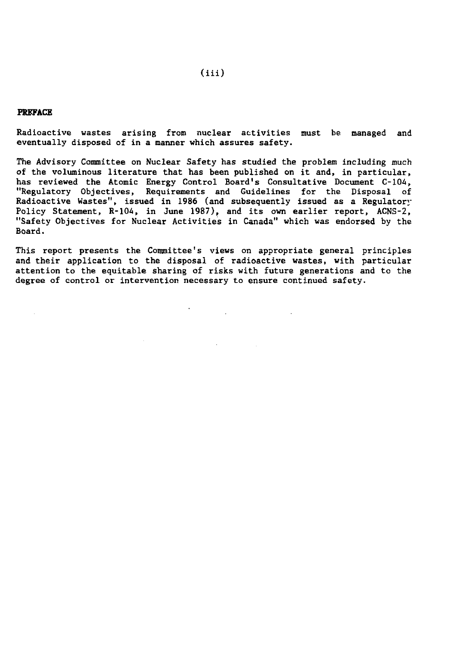#### **PREFACE**

Radioactive wastes arising from nuclear activities must be managed and eventually disposed of in a manner which assures safety.

The Advisory Committee on Nuclear Safety has studied the problem including much of the voluminous literature that has been published on it and, in particular, has reviewed the Atomic Energy Control Board's Consultative Document C-104, "Regulatory Objectives, Requirements and Guidelines for the Disposal of Radioactive Wastes", issued in 1986 (and subsequently issued as a Regulatory Policy Statement, R-104, in June 1987), and its own earlier report, ACNS-2, "Safety Objectives for Nuclear Activities in Canada" which was endorsed by the Board.

This report presents the Committee's views on appropriate general principles and their application to the disposal of radioactive wastes, with particular attention to the equitable sharing of risks with future generations and to the degree of control or intervention necessary to ensure continued safety.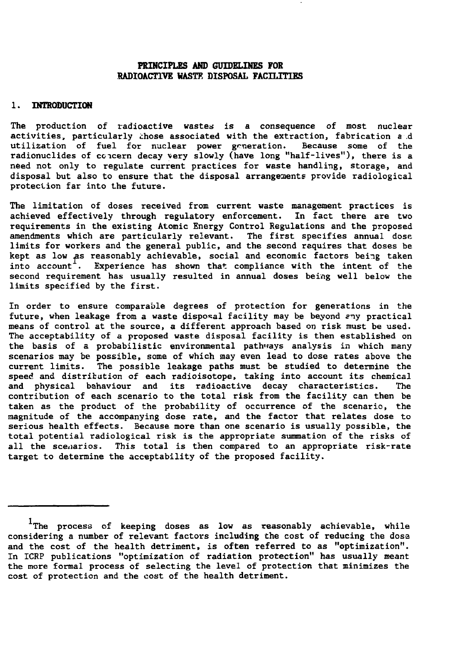#### **PRINCIPLES AND GUIDELINES FOR RADIOACTIVE WASTE DISPOSAL FACILITIES**

#### **1. INTRODUCTION**

The production of radioactive wastes is a consequence of most nuclear activities, particularly those associated with the extraction, fabrication a d utilization of fuel for nuclear power generation. Because some of the radionuclides of ccicern decay very slowly (have long "half-lives"), there is a need not only to regulate current practices for waste handling, storage, and disposal but also to ensure that the disposal arrangements provide radiological protection far into the future.

The limitation of doses received from current waste management practices is achieved effectively through regulatory enforcement. In fact there are two requirements in the existing Atomic Energy Control Regulations and the proposed amendments which are particularly relevant. The first specifies annual dose limits for workers and the general public, and the second requires that doses be kept as low as reasonably achievable, social and economic factors being taken into account. Experience has shown that compliance with the intent of the second requirement has usually resulted in annual doses being well below the limits specified by the first.

In order to ensure comparable degrees of protection for generations in the future, when leakage from a waste disposal facility may be beyond  $e^{\eta y}$  practical means of control at the source, a different approach based on risk must be used. The acceptability of a proposed waste disposal facility is then established on the basis of a probabilistic environmental pathways analysis in which many scenarios may be possible, some of which may even lead to dose rates above the current limits. The possible leakage paths must be studied to determine the speed and distribution of each radioisotope, taking into account its chemical and physical behaviour and its radioactive decay characteristics. The contribution of each scenario to the total risk from the facility can then be taken as the product of the probability of occurrence of the scenario, the magnitude of the accompanying dose rate, and the factor that relates dose to serious health effects. Because more than one scenario is usually possible, the total potential radiological risk is the appropriate summation of the risks of all the scenarios. This total is then compared to an appropriate risk-rate target to determine the acceptability of the proposed facility.

<sup>&</sup>lt;sup>1</sup>The process of keeping doses as low as reasonably achievable, while considering a number of relevant factors including the cost of reducing the dosa and the cost of the health detriment, is often referred to as "optimization". In ICRP publications "optimization of radiation protection" has usually meant the more formal process of selecting the level of protection that minimizes the cost of protection and the cost of the health detriment.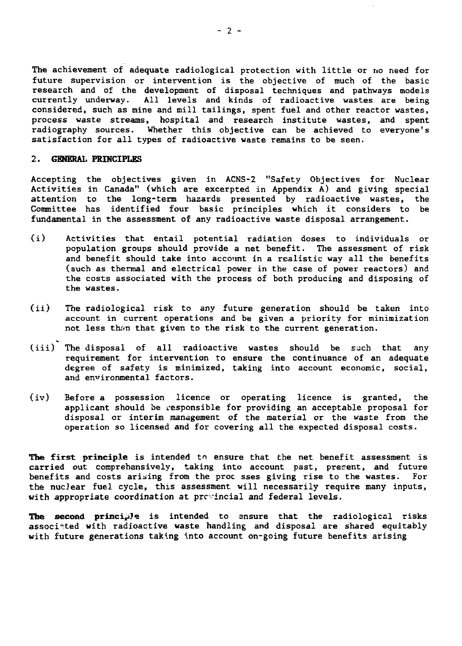The achievement of adequate radiological protection with little or no need for future supervision or intervention is the objective of much of the basic research and of the development of disposal techniques and pathways models currently underway. All levels and kinds of radioactive wastes are being considered, such as mine and mill tailings, spent fuel and other reactor wastes, process waste streams, hospital and research institute wastes, and spent radiography sources. Whether this objective can be achieved to everyone's satisfaction for all types of radioactive waste remains to be seen.

#### **2. GENERAL PRINCIPLES**

Accepting the objectives given in ACNS-2 "Safety Objectives for Nuclear Activities in Canada" (which are excerpted in Appendix  $\tilde{A}$ ) and giving special attention to the long-term hazards presented by radioactive wastes, the Committee has identified four basic principles which it considers to be fundamental in the assessment of any radioactive waste disposal arrangement.

- (i) Activities that entail potential radiation doses to individuals or population groups should provide a net benefit. The assessment of risk and benefit should take into account in a realistic way all the benefits (such as thermal and electrical power in the case of power reactors) and the costs associated with the process of both producing and disposing of the wastes.
- (ii) The radiological risk to any future generation should be taken into account in current operations and be given a priority for minimization not less than that given to the risk to the current generation.
- (iii) The disposal of all radioactive wastes should be such that any requirement for intervention to ensure the continuance of an adequate degree of safety is minimized, taking into account economic, social, and environmental factors.
- (iv) Before a possession licence or operating licence is granted, the applicant should be responsible for providing an acceptable proposal for disposal or interim management of the material or the waste from the operation so licensed and for covering all the expected disposal costs.

**The first principle** is intended to ensure that the net benefit assessment is carried out comprehensively, taking into account past, present, and future benefits and costs arising from the proc sses giving rise to the wastes. For the nucJear fuel cycle, this assessment will necessarily require many inputs, with appropriate coordination at prrvincial and federal levels.

**The second principle** is intended to ansure that the radiological risks associated with radioactive waste handling and disposal are shared equitably with future generations taking into account on-going future benefits arising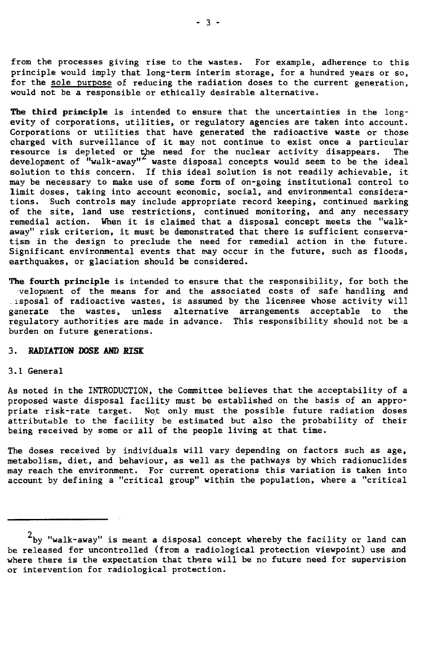from the processes giving rise to the wastes. For example, adherence to this principle would imply that long-term interim storage, for a hundred years or so, for the sole purpose of reducing the radiation doses to the current generation, would not be a responsible or ethically desirable alternative.

**The third principle** is intended to ensure that the uncertainties in the longevity of corporations, utilities, or regulatory agencies are taken into account. Corporations or utilities that have generated the radioactive waste or those charged with surveillance of it may not continue to exist once a particular resource is depleted or the need for the nuclear activity disappears. The development of "walk-away" waste disposal concepts would seem to be the ideal solution to this concern. If this ideal solution is not readily achievable, it may be necessary to make use of some form of on-going institutional control to limit doses, taking into account economic, social, and environmental considerations. Such controls may include appropriate record keeping, continued marking of the site, land use restrictions, continued monitoring, and any necessary remedial action. When it is claimed that a disposal concept meets the "walkaway" risk criterion, it must be demonstrated that there is sufficient conservatism in the design to preclude the need for remedial action in the future. Significant environmental events that may occur in the future, such as floods, earthquakes, or glaciation should be considered.

**The fourth principle** is intended to ensure that the responsibility, for both the velopiaent of the means for and the associated costs of safe handling and .isposal of radioactive wastes, is assumed by the licensee whose activity will generate the wastes, unless alternative arrangements acceptable to the regulatory authorities are made in advance. This responsibility should not be a burden on future generations.

#### 3. **RADIATION DOSE AND BISK**

#### 3.1 General

As noted in the INTRODUCTION, the Committee believes that the acceptability of a proposed waste disposal facility must be established on the basis of an appropriate risk-rate target. Not only must the possible future radiation doses attributable to the facility be estimated but also the probability of their being received by some or all of the people living at that time.

The doses received by individuals will vary depending on factors such as age, metabolism, diet, and behaviour, as well as the pathways by which radionuclides may reach the environment. For current operations this variation is taken into account by defining a "critical group" within the population, where a "critical

 $^2\!\rm{by}$  "walk-away" is meant a disposal concept whereby the facility or land can be released for uncontrolled (from a radiological protection viewpoint) use and where there is the expectation that there will be no future need for supervision or intervention for radiological protection.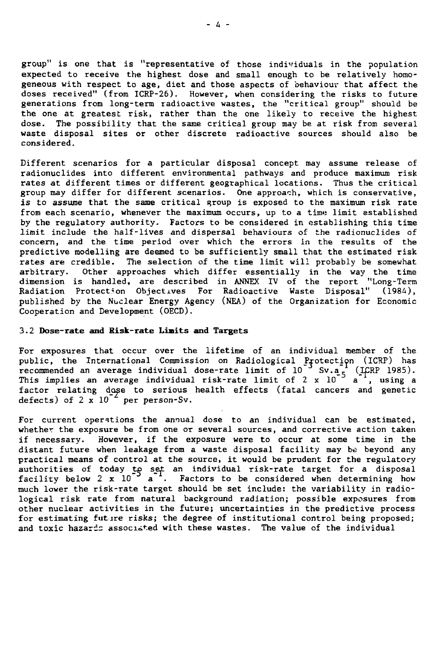group" is one that is "representative of those individuals in the population expected to receive the highest dose and small enough to be relatively homogeneous with respect to age, diet and those aspects of behaviour that affect the doses received" (from ICRP-26). However, when considering the risks to future generations from long-term radioactive wastes, the "critical group" should be the one at greatest risk, rather than the one likely to receive the highest dose. The possibility that the same critical group may be at risk from several waste disposal sites or other discrete radioactive sources should also be considered.

Different scenarios for a particular disposal concept may assume release of radionuclides into different environmental pathways and produce maximum risk rates at different times or different geographical locations. Thus the critical group may differ for different scenarios. One approach, which is conservative, is to assume that the same critical group is exposed to the maximum risk rate from each scenario, whenever the maximum occurs, up to a time limit established by the regulatory authority. Factors to be considered in establishing this time limit include the half-lives and dispersal behaviours of the radionuclides of concern, and the time period over which the errors in the results of the predictive modelling are deemed to be sufficiently small that the estimated risk rates are credible. The selection of the time limit will probably be somewhat arbitrary. Other approaches which differ essentially in the way the time dimension is handled, are described in ANNEX IV of the report "Long-Term Radiation Protection Objectives For Radioactive Waste Disposal" (1984), published by the Nuclear Energy Agency (NEA) of the Organization for Economic Cooperation and Development (OECD).

#### 3.2 **Dose-rate and Risk-rate Limits and Targets**

For exposures that occur over the lifetime of an individual member of the public, the International Commission on Radiological Protection (ICRP) has recommended an average individual dose-rate limit of  $10$   $\degree$  Sv.a<sub>r</sub> (ICRP 1985). This implies an average individual risk-rate limit of 2  $\times$  10  $^{7}$  a  $^{*}$ , using a factor relating dose to serious health effects (fatal cancers and genetic defects) of 2 x  $10^{-2}$  per person-Sv.

For current operations the annual dose to an individual can be estimated, whether the exposure be from one or several sources, and corrective action taken if necessary. However, if the exposure were to occur at some time in the distant future when leakage from a waste disposal facility may be beyond any practical means of control at the source, it would be prudent for the regulatory authorities of today to set an individual risk-rate target for a disposal facility below 2 x 10  $\degree$  a  $\degree$ . Factors to be considered when determining how much lower the risk-rate target should be set include: the variability in radiological risk rate from natural background radiation; possible exposures from other nuclear activities in the future; uncertainties in the predictive process for estimating fut ire risks; the degree of institutional control being proposed; and toxic hazards associated with these wastes. The value of the individual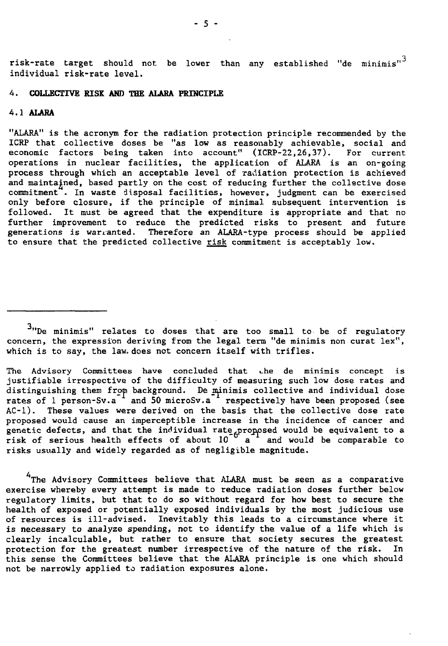risk-rate target should not be lower than any established "de minimis" $^{3}$ individual risk-rate level.

#### 4. **COLLECTIVE RISE AND THE ALARA PRINCIPLE**

#### **4.1 ALARA**

"ALARA" is the acronym for the radiation protection principle recommended by the ICRP that collective doses be "as low as reasonably achievable, social and<br>economic factors being taken into account" (ICRP-22.26.37). For current economic factors being taken into account"  $(ICRP-22, 26, 37)$ . operations in nuclear facilities, the application of ALARA is an on-going process through which an acceptable level of radiation protection is achieved and maintained, based partly on the cost of reducing further the collective dose commitment . In waste disposal facilities, however, judgment can be exercised only before closure, if the principle of minimal subsequent intervention is followed. It must be agreed that the expenditure is appropriate and that no further improvement to reduce the predicted risks to present and future generations is warranted. Therefore an ALARA-type process should be applied to ensure that the predicted collective risk commitment is acceptably low.

The Advisory Committees have concluded that the de minimis concept is justifiable irrespective of the difficulty of measuring such low dose rates and distinguishing them from background. De minimis collective and individual dose rates of 1 person-Sv.a <sup>+</sup> and 50 microSv.a <sup>+</sup> respectively have been proposed (see AC-1). These values were derived on the basis that the collective dose rate proposed would cause an imperceptible increase in the incidence of cancer and genetic defects, and that the individual rate<sub>c</sub>proposed would be equivalent to a risk of serious health effects of about 10  $\degree$  a  $\degree$  and would be comparable to risks usually and widely regarded as of negligible magnitude.

<sup>4</sup>The Advisory Committees believe that ALARA must be seen as a comparative exercise whereby every attempt is made to reduce radiation doses further below regulatory limits, but that to do so without regard for how best to secure the health of exposed or potentially exposed individuals by the most judicious use of resources is ill-advised. Inevitably this leads to a circumstance where it is necessary to analyze spending, not to identify the value of a life which is clearly incalculable, but rather to ensure that society secures the greatest protection for the greatest number irrespective of the nature of the risk. In this sense the Committees believe that the ALARA principle is one which should not be narrowly applied to radiation exposures alone.

 $3$ "De minimis" relates to doses that are too small to be of regulatory concern, the expression deriving from the legal term "de minimis non curat lex". which is to say, the law does not concern itself with trifles.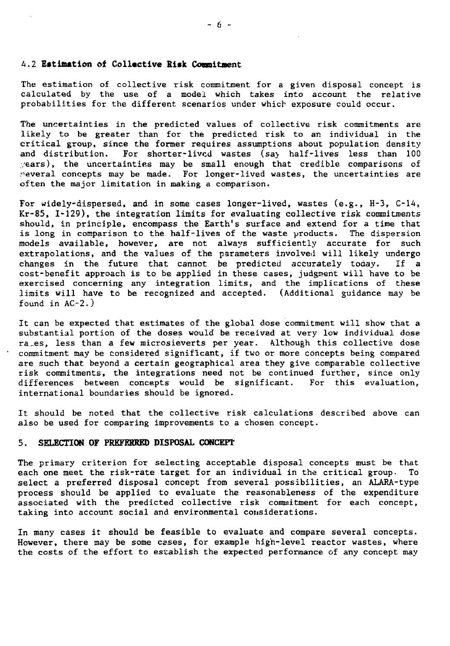#### **4.2 Estimation of Collective Eick Commitment**

The estimation of collective risk commitment for a given disposal concept is calculated by the use of a model which takes into account the relative probabilities for the different scenarios under which exposure could occur.

The uncertainties in the predicted values of collective risk commitments are likely to be greater than for the predicted risk to an individual in the critical group, since the former requires assumptions about population density and distribution. For shorter-lived wastes (say half-lives less than 100 /ears), the uncertainties may be small enough that credible comparisons of .•'everal concepts may be made. For longer-lived wastes, the uncertainties are often the major limitation in making a comparison.

For widely-dispersed, and in some cases longer-lived, wastes (e.g., H-3, C-14, Kr-85, 1-129), the integration limits for evaluating collective risk commitments should, in principle, encompass the Earth's surface and extend for a time that is long in comparison to the half-lives of the waste products. The dispersion models available, however, are not always sufficiently accurate for such extrapolations, and the values of the parameters involved will likely undergo changes in the future that cannot be predicted accurately today. If a cost-benefit approach is to be applied in these cases, judgment will have to be exercised concerning any integration limits, and the implications of these limits will have to be recognized and accepted. (Additional guidance may be found in AC-2.)

It can be expected that estimates of the global dose commitment will show that a substantial portion of the doses would be received at very low individual dose ra\_es, less than a few microsieverts per year. Although this collective dose commitment may be considered significant, if two or more concepts being compared are such that beyond a certain geographical area they give comparable collective risk commitments, the integrations need not be continued further, since only differences between concepts would be significant. For this evaluation, international boundaries should be ignored.

It should be noted that the collective risk calculations described above can also be used for comparing improvements to a chosen concept.

#### **5. SELECTION OF PREFERRED DISPOSAL CONCEPT**

The primary criterion for selecting acceptable disposal concepts must be that each one meet the risk-rate target for an individual in the critical group. To select a preferred disposal concept from several possibilities, an ALARA-type process should be applied to evaluate the reasonableness of the expenditure associated with the predicted collective risk commitment for each concept, taking into account social and environmental considerations.

In many cases it should be feasible to evaluate and compare several concepts. However, there may be some cases, for example high-level reactor wastes, where the costs of the effort to establish the expected performance of any concept may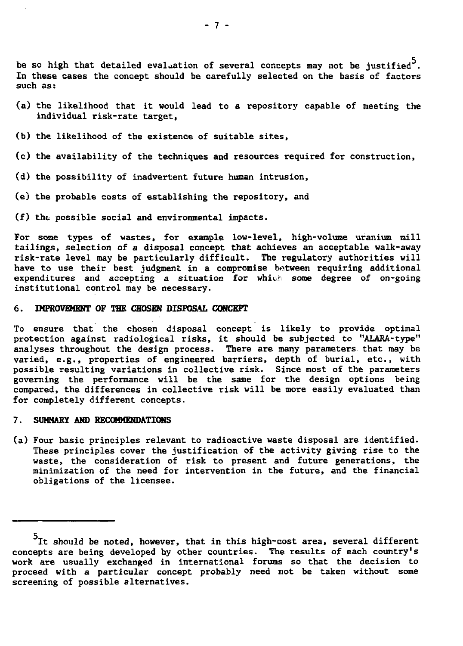be so high that detailed evaluation of several concepts may not be justified<sup>5</sup>. In these cases the concept should be carefully selected on the basis of factors such as:

- (a) the likelihood that it vould lead to a repository capable of meeting the individual risk-rate target,
- (b) the likelihood of the existence of suitable sites,
- (c) the availability of the techniques and resources required for construction,
- (d) the possibility of inadvertent future human intrusion,
- (e) the probable costs of establishing the repository, and
- $(f)$  the possible social and environmental impacts.

For some types of wastes, for example low-level, high-volume uranium mill tailings, selection of a disposal concept that achieves an acceptable walk-away risk-rate level may be particularly difficult. The regulatory authorities will have to use their best judgment in a compromise between requiring additional expenditures and accepting a situation for which some degree of on-going institutional control may be necessary.

#### 6. **IMPROVEMENT OF THE CHOSEN DISPOSAL CONCEPT**

To ensure that the chosen disposal concept is likely to provide optimal protection against radiological risks, it should be subjected to "ALARA-type" analyses throughout the design process. There are many parameters that may be varied, e.g., properties of engineered barriers, depth of burial, etc., with possible resulting variations in collective risk. Since most of the parameters governing the performance will be the same for the design options being compared, the differences in collective risk will be more easily evaluated than for completely different concepts.

#### 7. **SUMMARY AND RECOMMENDATIONS**

(a) Four basic principles relevant to radioactive waste disposal are identified. These principles cover the justification of the activity giving rise to the waste, the consideration of risk to present and future generations, the minimization of the need for intervention in the future, and the financial obligations of the licensee.

 $5$ It should be noted, however, that in this high-cost area, several different concepts are being developed by other countries. The results of each country's work are usually exchanged in international forums so that the decision to proceed with a particular concept probably need not be taken without some screening of possible alternatives.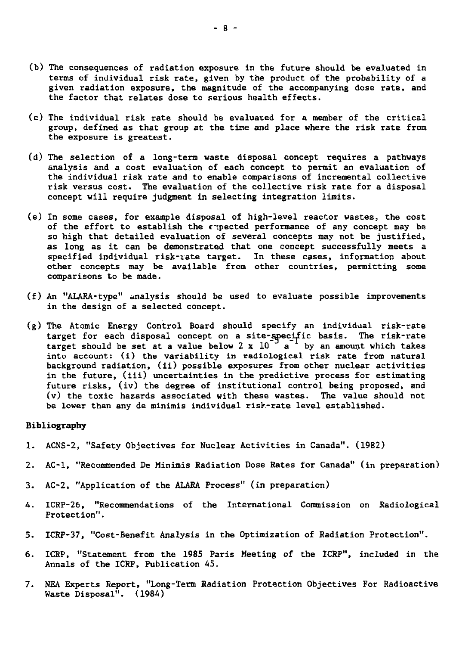- (b) The consequences of radiation exposure in the future should be evaluated in terms of individual risk rate, given by the product of the probability of a given radiation exposure, the magnitude of the accompanying dose rate, and the factor that relates dose to serious health effects.
- (c) The individual risk rate should be evaluated for a member of the critical group, defined as that group at the tine and place where the risk rate from the exposure is greatest.
- (d) The selection of a long-term waste disposal concept requires a pathways analysis and a cost evaluation of each concept to permit an evaluation of the individual risk rate and to enable comparisons of incremental collective risk versus cost. The evaluation of the collective risk rate for a disposal concept will require judgment in selecting integration limits.
- (e) In some cases, for example disposal of high-level reactor wastes, the cost of the effort to establish the  $\epsilon$ -rected performance of any concept may be so high that detailed evaluation of several concepts may not be justified, as long as it can be demonstrated that one concept successfully meets a specified individual risk-rate target. In these cases, information about other concepts may be available from other countries, permitting some comparisons to be made.
- (f) An "ALARA-type" analysis should be used to evaluate possible improvements in the design of a selected concept.
- (g) The Atomic Energy Control Board should specify an individual risk-rate target for each disposal concept on a site-specific basis. The risk-rate target should be set at a value below 2 x  $10$   $\degree$  a  $\degree$  by an amount which takes into account: (i) the variability in radiological risk rate from natural background radiation, (ii) possible exposures from other nuclear activities in the future, (iii) uncertainties in the predictive process for estimating future risks, (iv) the degree of institutional control being proposed, and (v) the toxic hazards associated with these wastes. The value should not be lower than any de minimis individual risk-rate level established.

#### **Bibliography**

- 1. ACNS-2, "Safety Objectives for Nuclear Activities in Canada". (1982)
- 2. AC-1, "Recommended De Minimis Radiation Dose Rates for Canada" (in preparation)
- 3. AC-2, "Application of the ALARA Process" (in preparation)
- A. ICRP-26, "Recommendations of the International Commission on Radiological Protection".
- 5. ICRP-37, "Cost-Benefit Analysis in the Optimization of Radiation Protection".
- 6. ICRP, "Statement from the 1985 Paris Meeting of the ICRP", included in the Annals of the ICRP, Publication 45.
- 7. NEA Experts Report, "Long-Term Radiation Protection Objectives For Radioactive Waste Disposal". (1984)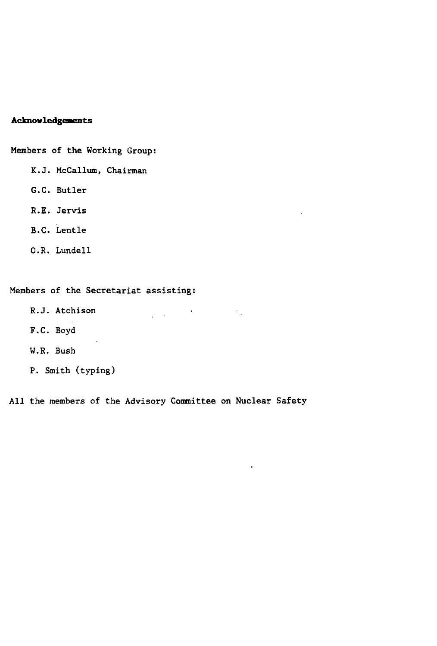#### **Acknowledgements**

Members of the Working Group:

- K.J. McCallum, Chairman
- G.C. Butler
- R.E. Jervis
- B.C. Lentle
- O.R. Lundell

### Members of the Secretariat assisting:

- R.J. Atchison
- F.C. Boyd
- W.R. Bush
- P. Smith (typing)

All the members of the Advisory Committee on Nuclear Safety

 $\mathcal{L}^{\text{max}}(\mathcal{L}^{\text{max}})$ 

 $\sim 10^4$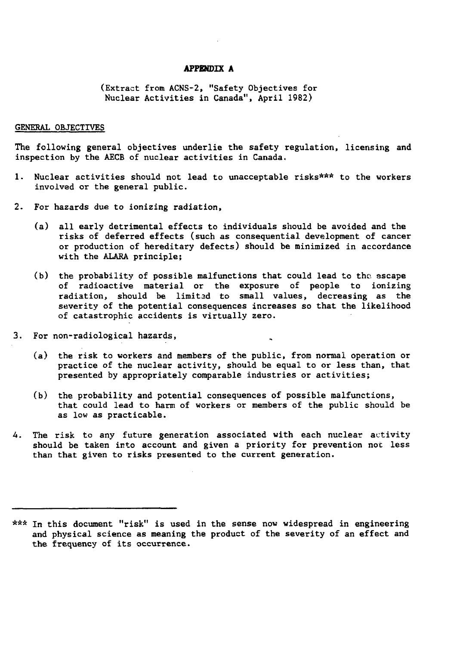#### **APPENDIX A**

(Extract from ACNS-2, "Safety Objectives for Nuclear Activities in Canada", April 1982)

#### GENERAL OBJECTIVES

The following general objectives underlie the safety regulation, licensing and inspection by the AECB of nuclear activities in Canada.

- 1. Nuclear activities should not lead to unacceptable risks\*\*\* to the workers involved or the general public.
- 2. For hazards due to ionizing radiation,
	- (a) all early detrimental effects to individuals should be avoided and the risks of deferred effects (such as consequential development of cancer or production of hereditary defects) should be minimized in accordance with the ALARA principle;
	- (b) the probability of possible malfunctions that could lead to the. escape of radioactive material or the exposure of people to ionizing radiation, should be limited to small values, decreasing as the severity of the potential consequences increases so that the likelihood of catastrophic accidents is virtually zero.
- 3. For non-radiological hazards,
	- (a) the risk to workers and members of the public, from normal operation or practice of the nuclear activity, should be equal to or less than, that presented by appropriately comparable industries or activities;
	- (b) the probability and potential consequences of possible malfunctions, that could lead to harm of workers or members of the public should be as low as practicable.
- 4. The risk to any future generation associated with each nuclear activity should be taken into account and given a priority for prevention not less than that given to risks presented to the current generation.

<sup>\*\*\*</sup> In this document "risk" is used in the sense now widespread in engineering and physical science as meaning the product of the severity of an effect and the frequency of its occurrence.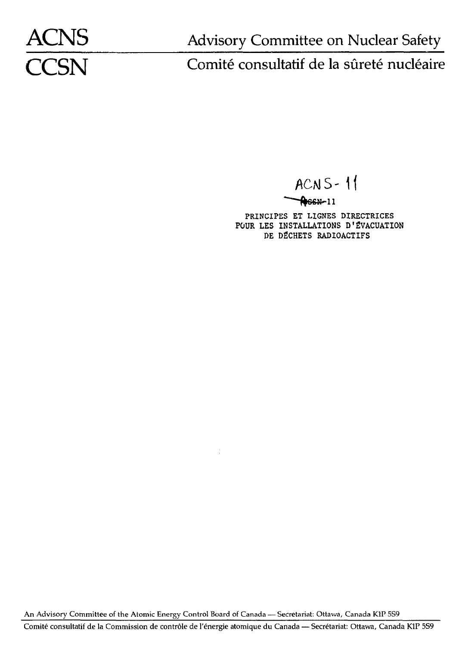# **ACNS**

Advisory Committee on Nuclear Safety

CCSN Comité consultatif de la sûreté nucléaire

ACNS-11  $ResN-11$ 

PRINCIPES ET LIGNES DIRECTRICES POUR LES INSTALLATIONS D'ÉVACUATION DE DÉCHETS RADIOACTIFS

An Advisory Committee of the Atomic Energy Control Board of Canada — Secretariat: Ottawa, Canada KIP 5S9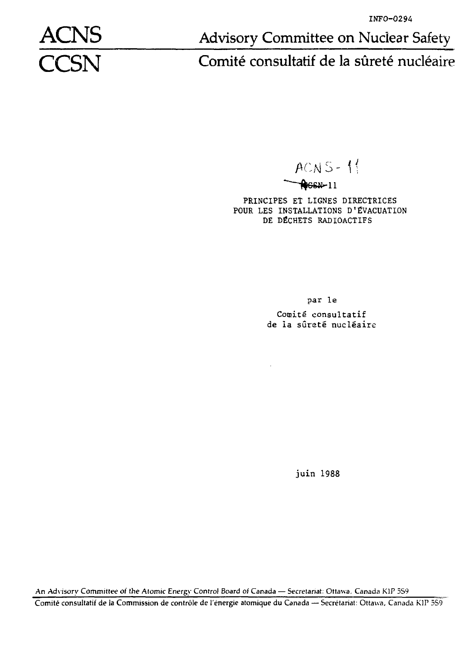**ACNS** Advisory Committee on Nuclear Safety<br> **CCSN** Comité consultatif de la sûreté nucléaire

### Comité consultatif de la sûreté nucléaire

**-** *\\*  $\sqrt{\frac{1}{1}}$ 

PRINCIPES ET LIGNES DIRECTRICES POUR LES INSTALLATIONS D'ÉVACUATION DE DÉCHETS RADIOACTIFS

par le

Comité consultatif de la sûraté nucléaire

juin 1988

An Advisory Committee *ot* the Atomic Energy Control Board of Canada — Secretariat. Ottawa, Canada KIP 5S9

Comité consultatif de la Commission de contrôle de l'énergie atomique du Canada — Secrétariat: Ottawa, Canada KIP 5S9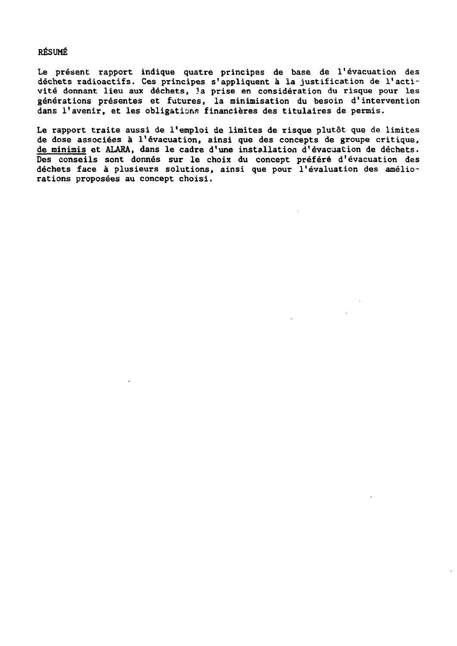RÉSUMÉ

Le présent rapport indique quatre principes de base de l'évacuation des déchets radioactifs. Ces principes s'appliquent à la justification de l'activité donnant lieu aux déchets, 3a prise en considération du risque pour les générations présentes et futures, la minimisation du besoin d'intervention dans l'avenir, et les obligations financières des titulaires de permis.

Le rapport traite aussi de l'emploi de limites de risque plutôt que de limites de dose associées à l'évacuation, ainsi que des concepts de groupe critique, de minimis et ALARA, dans le cadre d'une installation d'évacuation de déchets. Des conseils sont donnés sur le choix du concept préféré d'évacuation des déchets face à plusieurs solutions, ainsi que pour l'évaluation des améliorations proposées au concept choisi.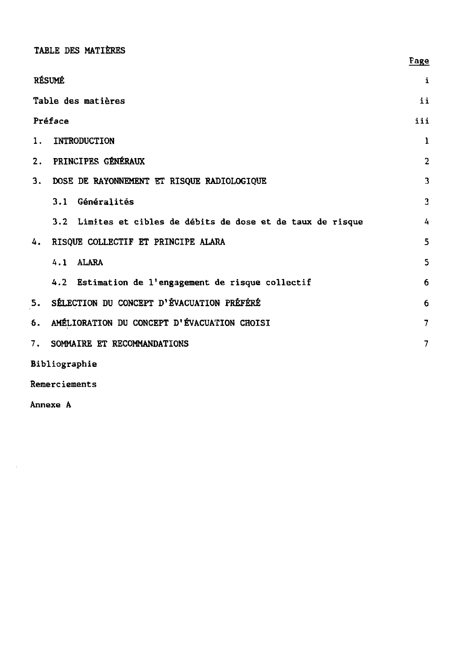TABLE DES MATIÈRES

|         |                                                              | Fage                     |
|---------|--------------------------------------------------------------|--------------------------|
|         | RÉSUMÉ                                                       | $\mathbf{i}$             |
|         | Table des matières                                           | ii                       |
| Préface |                                                              | iii                      |
| 1.      | INTRODUCTION                                                 | 1                        |
| 2.      | PRINCIPES GÉNÉRAUX                                           | $\overline{2}$           |
|         | 3. DOSE DE RAYONNEMENT ET RISQUE RADIOLOGIQUE                | 3                        |
|         | 3.1 Généralités                                              | $\overline{3}$           |
|         | 3.2 Limites et cibles de débits de dose et de taux de risque | 4                        |
|         | 4. RISQUE COLLECTIF ET PRINCIPE ALARA                        | 5                        |
|         | 4.1 ALARA                                                    | 5                        |
|         | 4.2 Estimation de l'engagement de risque collectif           | 6                        |
| 5.      | SÉLECTION DU CONCEPT D'ÉVACUATION PRÉFÉRÉ                    | 6                        |
| 6.      | AMÉLIORATION DU CONCEPT D'ÉVACUATION CHOISI                  | $\overline{7}$           |
| 7.      | SOMMAIRE ET RECOMMANDATIONS                                  | $\overline{\phantom{a}}$ |
|         | Bibliographie                                                |                          |

Annexe A

 $\bar{z}$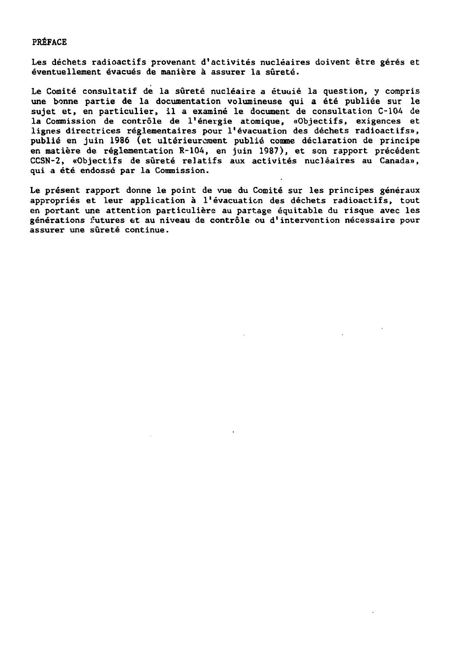#### **PRÉFACE**

**Les déchets radioactifs provenant d'activités nucléaires doivent être gérés et éventuellement évacués de manière à assurer la sûreté.**

**Le Comité consultatif de la sûreté nucléaire a étuuié la question, y compris une bonne partie de la documentation volumineuse qui a été publiée sur le sujet et, en particulier, il a examiné le document de consultation C-1OA de la Commission de contrôle de l'énergie atomique, «Objectifs, exigences et lignes directrices réglementaires pour l'évacuation des déchets radioactifs», publié en juin 1986 (et ultérieurement publié comme déclaration de principe en matière de réglementation R-104, en juin 1987), et son rapport précédent CCSN-2, «Objectifs de sûreté relatifs aux activités nucléaires au Canada», qui a été endossé par la Commission.**

**Le présent rapport donne le point de vue du Comité sur les principes généraux appropriés et leur application à l'évacuation des déchets radioactifs, tout en portant une attention particulière au partage équitable du risque avec les générations futures et au niveau de contrôle ou d'intervention nécessaire pour assurer une sûreté continue.**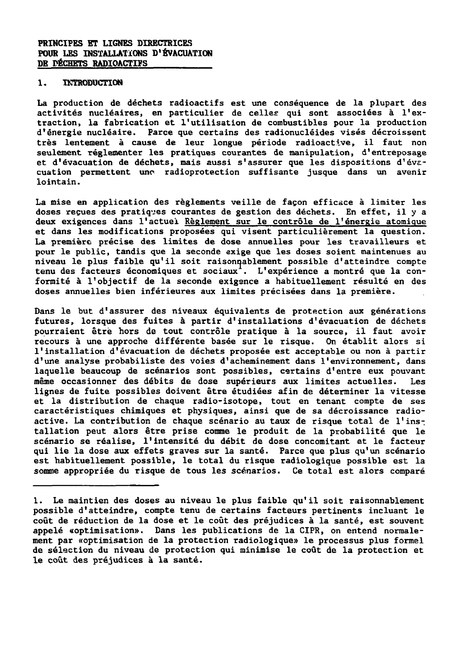#### PRINCIPES ET LIGNES DIRECTRICES POUR LES INSTALLATIONS D'ÉVACUATION DE DÉCHETS RADIOACTIFS

#### 1. INTRODUCTION

La production de déchets radioactifs est une conséquence de la plupart des activités nucléaires, en particulier de celles qui sont associées à l'extraction, la fabrication et l'utilisation de combustibles pour la production d'énergie nucléaire. Parce que certains des radionucléides visés décroissent très lentement à cause de leur longue période radioactive, il faut non seulement réglementer les pratiques courantes de manipulation, d'entreposage et d'évacuation de déchets, mais aussi s'assurer que les dispositions d'évacuation permettent une radioprotection suffisante jusque dans un avenir lointain.

La mise en application des règlements veille de façon efficace à limiter les doses reçues des pratiques courantes de gestion des déchets. En effet, il y a deux exigences dans l'actuel Règlement sur le contrôle de l'énergie atomique et dans les modifications proposées qui visent particulièrement la question. La première précise des limites de dose annuelles pour les travailleurs et pour le public, tandis que la seconde exige que les doses soient maintenues au niveau le plus faible qu'il soit raisonnablement possible d'atteindre compte tenu des facteurs économiques et sociaux<sup>1</sup>. L'expérience a montré que la conformité à l'objectif de la seconde exigence a habituellement résulté en des doses annuelles bien inférieures aux limites précisées dans la première.

Dans le but d'assurer des niveaux équivalents de protection aux générations futures, lorsque des fuites à partir d'installations d'évacuation de déchets pourraient être hors de tout contrôle pratique à la source, il faut avoir recours à une approche différente basée sur le risque. On établit alors si l'installation d'évacuation de déchets proposée est acceptable ou non à partir d'une analyse probabiliste des voies d'acheminement dans l'environnement, dans laquelle beaucoup de scénarios sont possibles, certains d'entre eux pouvant même occasionner des débits de dose supérieurs aux limites actuelles. Les lignes de fuite possibles doivent être étudiées afin de déterminer la vitesse et la distribution de chaque radio-isotope, tout en tenant compte de ses caractéristiques chimiques et physiques, ainsi que de sa décroissance radioactive. La contribution de chaque scénario au taux de risque total de l'installation peut alors être prise comme le produit de la probabilité que le scénario se réalise, l'intensité du débit de dose concomitant et le facteur qui lie la dose aux effets graves sur la santé. Parce que plus qu'un scénario est habituellement possible, le total du risque radiologique possible est la somme appropriée du risque de tous les scénarios. Ce total est alors comparé

<sup>1.</sup> Le maintien des doses au niveau le plus faible qu'il soit raisonnablement possible d'atteindre, compte tenu de certains facteurs pertinents incluant le coût de réduction de la dose et le coût des préjudices à la santé, est souvent appelé «optimisation». Dans les publications de la CIPR, on entend normalement par «optimisation de la protection radiologique» le processus plus formel de sélection du niveau de protection qui minimise le coût de la protection et le coût des préjudices à la santé.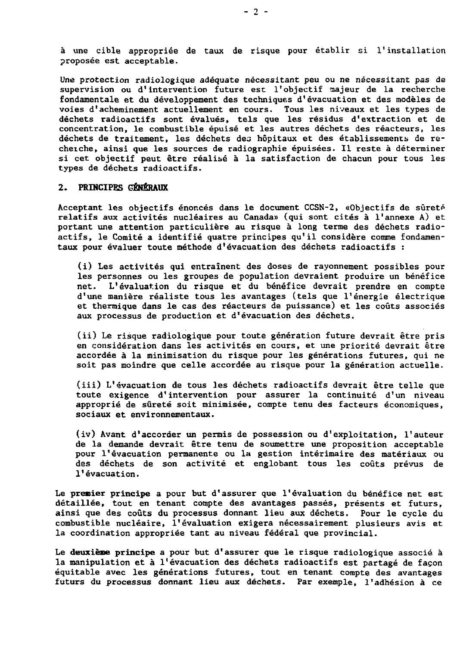à une cible appropriée de taux de risque pour établir si l'installation proposée est acceptable.

Une protection radiologique adéquate nécessitant peu ou ne nécessitant pas de supervision ou d'intervention future est l'objectif majeur de la recherche fondamentale et du développement des techniques d'évacuation et des modèles de voies d'acheminement actuellement en cours. Tous les niveaux et les types de déchets radioactifs sont évalués, tels que les résidus d'extraction et de concentration, le combustible épuisé et les autres déchets des réacteurs, les déchets de traitement, les déchets des hôpitaux et des établissements de recheiche, ainsi que les sources de radiographie épuisées. Il reste à déterminer si cet objectif peut être réalisé à la satisfaction de chacun pour tous les types de déchets radioactifs.

#### **2. PRINCIPES GÉNÉRAUX**

Acceptant les objectifs énoncés dans le document CCSN-2, «Objectifs de sûreté relatifs aux activités nucléaires au Canada» (qui sont cités à l'annexe A) et portant une attention particulière au risque à long terme des déchets radioactifs, le Comité a identifié quatre principes qu'il considère comme fondamentaux pour évaluer toute méthode d'évacuation des déchets radioactifs :

(i) Les activités qui entraînent des doses de rayonnement possibles pour les personnes ou les groupes de population devraient produire un bénéfice net. L'évaluation du risque et du bénéfice devrait prendre en compte d'une manière réaliste tous les avantages (tels que l'énergie électrique et thermique dans le cas des réacteurs de puissance) et les coûts associés aux processus de production et d'évacuation des déchets.

(ii) Le risque radiologique pour toute génération future devrait être pris en considération dans les activités en cours, et une priorité devrait être accordée à la minimisation du risque pour les générations futures, qui ne soit pas moindre que celle accordée au risque pour la génération actuelle.

(iii) L'évacuation de tous les déchets radioactifs devrait être telle que toute exigence d'intervention pour assurer la continuité d'un niveau approprié de sûreté soit minimisée, compte tenu des facteurs économiques, sociaux et environnementaux.

(iv) Avant d'accorder un permis de possession ou d'exploitation, l'auteur de la demande devrait être tenu de soumettre une proposition acceptable pour l'évacuation permanente ou la gestion intérimaire des matériaux ou des déchets de son activité et englobant tous les coûts prévus de l'évacuation.

Le premier principe a pour but d'assurer que l'évaluation du bénéfice net est détaillée, tout en tenant compte des avantages passés, présents et futurs, ainsi que des coûts du processus donnant lieu aux déchets. Pour le cycle du combustible nucléaire, l'évaluation exigera nécessairement plusieurs avis et la coordination appropriée tant au niveau fédéral que provincial.

Le deuxième principe a pour but d'assurer que le risque radiologique associé à la manipulation et à l'évacuation des déchets radioactifs est partagé de façon équitable avec les générations futures, tout en tenant compte des avantages futurs du processus donnant lieu aux déchets. Par exemple, l'adhésion à ce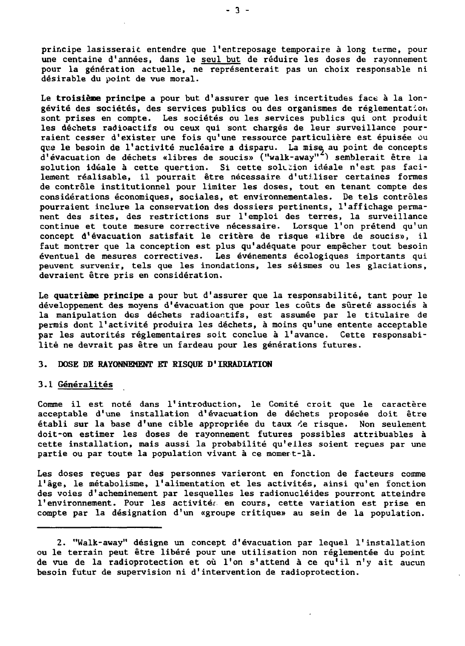principe lasisserait entendre que l'entreposage temporaire à long terme, pour une centaine d'années, dans le seul but de réduire les doses de rayonnement pour la génération actuelle, ne représenterait pas un choix responsable ni désirable du point de vue moral.

Le **troisième principe** a pour but d'assurer que les incertitudes face à la longévité des sociétés, des services publics ou des organismes de réglementation sont prises en compte. Les sociétés ou les services publics qui ont produit les déchets radioactifs ou ceux qui sont chargés de leur surveillance pourraient cesser d'exister une fois qu'une ressource particulière est épuisée ou que le besoin de l'activité nucléaire **a** disparu. La mise au point de concepts d'évacuation de déchets «libres de soucis» ("walk-away"<sup>2</sup>) semblerait être la solution idéale à cette quertion. Si cette solution idéale n'est pas facilement réalisable, il pourrait être nécessaire d'utiliser certaines formes de contrôle institutionnel pour limiter les doses, tout en tenant compte des considérations économiques, sociales, et environnementales. De tels contrôles pourraient inclure la conservation des dossiers pertinents, l'affichage permanent des sites, des restrictions sur l'emploi des terres, la surveillance continue et toute mesure corrective nécessaire. Lorsque l'on prétend qu'un concept d'évacuation satisfait le critère de risque «libre de soucis», il faut montrer que la conception est plus qu'adéquate pour empêcher tout besoin éventuel de mesures correctives. Les événements écologiques importants qui peuvent survenir, tels que les inondations, les séismes ou les glaciations, devraient être pris en considération.

Le **quatrième principe** a pour but d'assurer que la responsabilité, tant pour le développement des moyens d'évacuation que pour les coûts de sûreté associés à la manipulation des déchets radioactifs, est assumée par le titulaire de permis dont l'activité produira les déchets, à moins qu'une entente acceptable par les autorités réglementaires soit conclue à l'avance. Cette responsabilité ne devrait pas être un fardeau pour les générations futures.

#### 3. DOSE DE **RAYONNEMENT ET RISQUE D'IRRADIATION**

#### 3.1 Généralités

Comme il est noté dans l'introduction, le Comité croit que le caractère acceptable d'une installation d'évacuation de déchets proposée doit être établi sur la base d'une cible appropriée du taux de risque. Non seulement doit-on estimer les doses de rayonnement futures possibles attribuables à cette installation, mais aussi la probabilité qu'elles soient reçues par une partie ou par toute la population vivant à ce momert-là.

Les doses reçues par des personnes varieront en fonction de facteurs comme l'âge, le métabolisme, l'alimentation et les activités, ainsi qu'en fonction des voies d'acheminement par lesquelles les radionucléides pourront atteindre l'environnement. Pour les activité; en cours, cette variation est prise en compte par la désignation d'un «groupe critique» au sein de la population.

<sup>2. &</sup>quot;Walk-away" désigne un concept d'évacuation par lequel l'installation ou le terrain peut être libéré pour une utilisation non réglementée du point de vue de la radioprotection et où l'on s'attend à ce qu'il n'y ait aucun besoin futur de supervision ni d'intervention de radioprotection.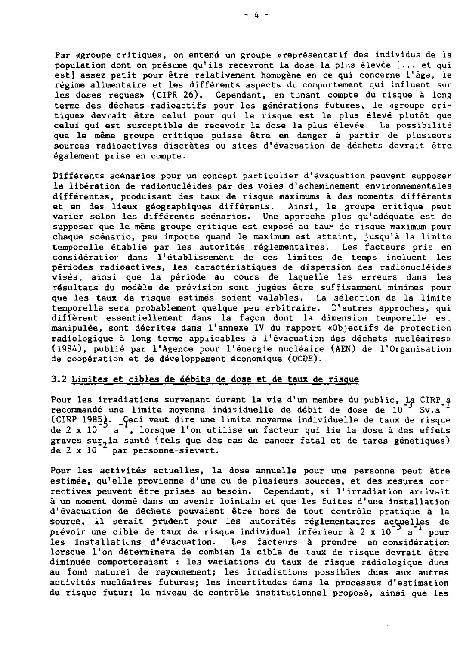Par «groupe critique», on entend un groupe «représentatif des individus de la population dont on présume qu'ils recevront la dose la plus élevée [... et qui est] assez petit pour être relativement homogène en ce qui concerne l'âge, le régime alimentaire et les différents aspects du comportement qui influent sur les doses reçues» (CIPR 26). Cependant, en tenant compte du risque à long terme des déchets radioactifs pour les générations futures, le «groupe critique» devrait être celui pour qui le risque est le plus élevé plutôt que celui qui est susceptible de recevoir la dose la plus élevée. La possibilité que le même groupe critique puisse être en danger à partir de plusieurs sources radioactives discrètes ou sites d'évacuation de déchets devrait être également prise en compte.

Différents scénarios pour un concept particulier d'évacuation peuvent supposer la libération de radionucléides par des voies d'acheminement environnementales différentes, produisant des taux de risque maximums à des moments différents et en des lieux géographiques différents. Ainsi, le groupe critique peut varier selon les différents scénarios. Une approche plus qu'adéquate est de supposer que le même groupe critique est exposé au tau<sup>v</sup> de risque maximum pour chaque scénario, peu importe quand le maximum est atteint, jusqu'à la limite temporelle établie par les autorités réglementaires. Les facteurs pris en consideration dans l'établissement de ces limites de temps incluent les périodes radioactives, les caractéristiques de dispersion des radionucléides visés, ainsi que la période au cours de laquelle les erreurs dans les résultats du modèle de prévision sont jugées être suffisamment minimes pour que les taux de risque estimés soient valables. La sélection de la limite temporelle sera probablement quelque peu arbitraire. D'autres approches, qui diffèrent essentiellement dans la façon dont la dimension temporelle est manipulée, sont décrites dans l'annexe IV du rapport «Objectifs de protection radiologique à long terme applicables à l'évacuation des déchets nucléaires» (1984), publié par l'Agence pour l'énergie nucléaire (AEN) de l'Organisation de coopération et de développement économique (OCDE).

#### **3.2 Limites et cibles de débits de dose et de taux de** risque

Pour les irradiations survenant durant la vie d'un membre du public, la CIRP a recommandé une limite moyenne individuelle de débit de dose de 10  $^{\circ}$  Sv.a (CIRP 1985). Ceci veut dire une limite moyenne individuelle de taux de risque de 2 x  $10^{-5}$   $a^{-1}$ , lorsque l'on utilise un facteur qui lie la dose à des effets graves sur<sub>p</sub>la santé (tels que des cas de cancer fatal et de tares génétiques) de  $2 \times 10^{-4}$  par personne-sievert.

Pour les activités actuelles, la dose annuelle pour une personne peut être estimée, qu'elle provienne d'une ou de plusieurs sources, et des mesures correctives peuvent être prises au besoin. Cependant, si l'irradiation arrivait à un moment donné dans un avenir lointain et que les fuites d'une installation d'évacuation de déchets pouvaient être hors de tout contrôle pratique à la source, il serait prudent pour les autorités réglementaires actuelles de prévoir une cible de taux de risque individuel inférieur à 2 x  $10^{-3}$  a<sup>-1</sup> pour les installations d'évacuation. Les facteurs à prendre en considération lorsque l'on déterminera de combien la cible de taux de risque devrait être diminuée comporteraient : les variations du taux de risque radiologique dues au fond naturel de rayonnement; les irradiations possibles dues aux autres activités nucléaires futures; les incertitudes dans le processus d'estimation du risque futur; le niveau de contrôle institutionnel proposé, ainsi que les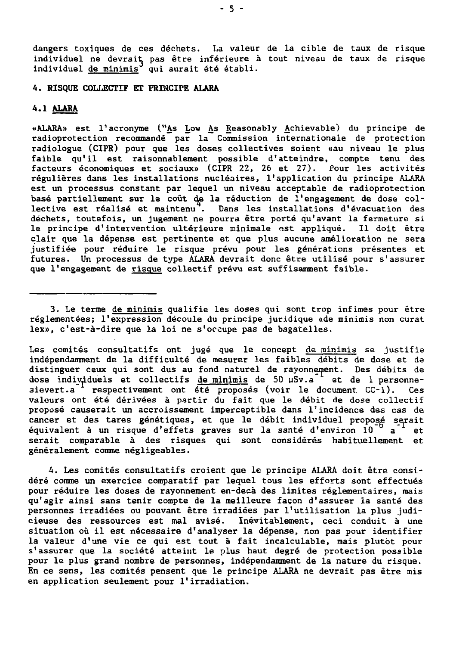dangers toxiques de ces déchets. La valeur de la cible de taux de risque individuel ne devrait pas être inférieure à tout niveau de taux de risque individuel de minimis<sup>3</sup> qui aurait été établi.

#### **A.** RISQUE COLLECTIF ET PRINCIPE **ALARA**

#### **4.1 ALARA**

«ALARA» est l'acronyme ("As Low As Reasonably Achievable) du principe de radioprotection recommandé par la Commission internationale de protection radiologue (CIPR) pour que les doses collectives soient «au niveau le plus faible qu'il est raisonnablement possible d'atteindre, compte tenu des facteurs économiques et sociaux» (CIPR 22, 26 et 27). Pour les activités régulières dans les installations nucléaires, l'application du principe ALARA est un processus constant par lequel un niveau acceptable de radioprotection basé partiellement sur le coût de la réduction de l'engagement de dose collective est réalisé et maintenu<sup>4</sup>. Dans les installations d'évacuation des déchets, toutefois, un jugement ne pourra être porté qu'avant la fermeture si le principe d'intervention ultérieure minimale est appliqué. Il doit être clair que la dépense est pertinente et que plus aucune amélioration ne sera justifiée pour réduire le risque prévu pour les générations présentes et futures. Un processus de type ALARA devrait donc être utilisé pour s'assurer que l'engagement de risque collectif prévu est suffisamment faible.

3. Le terme de minimis qualifie les doses qui sont trop infimes pour être réglementées; l'expression découle du principe juridique «de minimis non curat lex», c'est-à-dire que la loi ne s'occupe pas de bagatelles.

Les comités consultatifs ont jugé que le concept de minimis se justifie indépendamment de la difficulté de mesurer les faibles débits de dose et de distinguer ceux qui sont dus au fond naturel de rayonnement. Des débits de dose individuels et collectifs de minimis de 50  $\mu$ Sv.a<sup>-1</sup> et de 1 personnesievert.a<sup>1</sup> respectivement ont été proposés (voir le document CC-1). Ces valeurs ont été dérivées à partir du fait que le débit de dose collectif proposé causerait un accroissement imperceptible dans l'incidence des cas de cancer et des tares génétiques, et que le débit individuel proposé serait équivalent à un risque d'effets graves sur la santé d'environ  $10^{-9}$  a<sup>-1</sup> et serait comparable à des risques qui sont considérés habituellement et généralement comme négligeables.

A. Les comités consultatifs croient que le principe ALARA doit être considéré comme un exercice comparatif par lequel tous les efforts sont effectués pour réduire les doses de rayonnement en-decà des limites réglementaires, mais qu'agir ainsi sans tenir compte de la meilleure façon d'assurer la santé des personnes irradiées ou pouvant être irradiées par l'utilisation la plus judicieuse des ressources est mal avisé. Inévitablement, ceci conduit à une situation où il est nécessaire d'analyser la dépense, non pas pour identifier la valeur d'une vie ce qui est tout à fait incalculable, mais plutôt pour s'assurer que la société atteint le plus haut degré de protection possible pour le plus grand nombre de personnes, indépendamment de la nature du risque. En ce sens, les comités pensent que le principe ALARA ne devrait pas être mis en application seulement pour l'irradiation.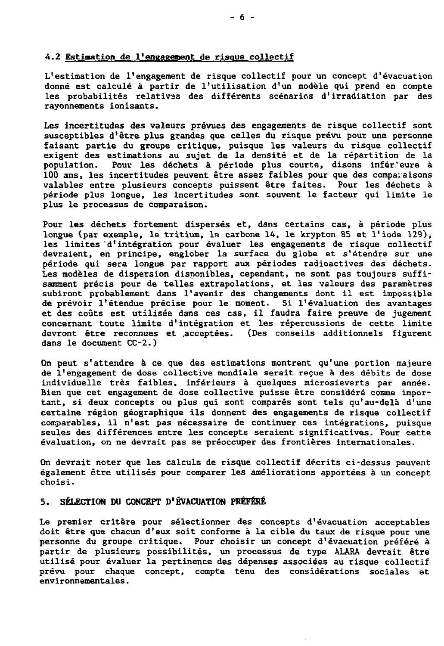#### 4.2 Estimation de l'engagement de risque collectif

L'estimation de l'engagement de risque collectif pour un concept d'évacuation donné est calculé à partir de l'utilisation d'un modèle qui prend en compte les probabilités relatives des différents scénarios d'irradiation par des rayonnements ionisants.

Les incertitudes des valeurs prévues des engagements de risque collectif sont susceptibles d'être plus grandes que celles du risque prévu pour une personne faisant partie du groupe critique, puisque les valeurs du risque collectif exigent des estimations au sujet de la densité et de la répartition de la<br>population. Pour les déchets à période plus courte, disons infér'eure à Pour les déchets à période plus courte, disons inférieure à 100 ans, les incertitudes peuvent être assez faibles pour que des comparaisons valables entre plusieurs concepts puissent être faites. Pour les déchets à période plus longue, les incertitudes sont souvent le facteur qui limite le plus le processus de comparaison.

Four les déchets fortement dispersés et, dans certains cas, à période plus longue (par exemple, le tritium, Is carbone 14, le krypton 85 et l'iode 129), les limites'd'intégration pour évaluer les engagements de risque collectif devraient, en principe, englober la surface du globe et s'étendre sur une période qui sera longue par rapport aux périodes radioactives des déchets. Les modèles de dispersion disponibles, cependant, ne sont pas toujours suffisamment précis pour de telles extrapolations, et les valeurs des paramètres subiront probablement dans l'avenir des changements dont il est impossible de prévoir l'étendue précise pour le moment. Si l'évaluation des avantages et des coûts est utilisée dans ces cas, il faudra faire preuve de jugement concernant toute limite d'intégration et les répercussions de cette limite devront être reconnues et acceptées. (Des conseils additionnels figurent dans le document CC-2.)

On peut s'attendre à ce que des estimations montrent qu'une portion majeure de l'engagement de dose collective mondiale serait reçue à des débits de dose individuelle très faibles, inférieurs à quelques microsieverts par année. Bien que cet engagement de dose collective puisse être considéré comme important, si deux concepts ou plus qui sont comparés sont tels qu'au-delà d'une certaine région géographique ils donnent des engagements de risque collectif comparables, il n'est pas nécessaire de continuer ces intégrations, puisque seules des différences entre les concepts seraient significatives. Four cette évaluation, on ne devrait pas se préoccuper des frontières internationales.

On devrait noter que les calculs de risque collectif décrits ci-dessus peuvent également être utilisés pour comparer les améliorations apportées à un concept choisi.

#### 5. SÉLECTION DU CONCEPT D'ÉVACUATION PRÉFÉRÉ

Le premier critère pour sélectionner des concepts d'évacuation acceptables doit être que chacun d'eux soit conforme à la cible du taux de risque pour une personne du groupe critique. Pour choisir un concept d'évacuation préféré à partir de plusieurs possibilités, un processus de type ALARA devrait être utilisé pour évaluer la pertinence des dépenses associées au risque collectif prévu pour chaque concept, compte tenu des considérations sociales et environnementales.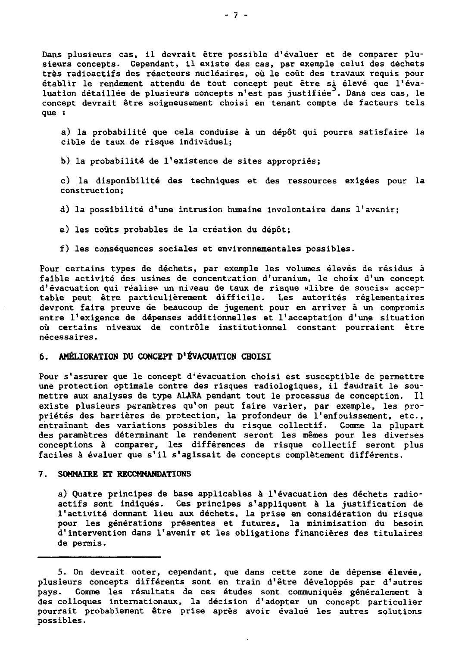Dans plusieurs cas, il devrait être possible d'évaluer et de comparer plusieurs concepts. Cependant, il existe des cas, par exemple celui des déchets très radioactifs des réacteurs nucléaires, où le coût des travaux requis pour établir le rendement attendu de tout concept peut être si élevé que l'évaluation détaillée de plusieurs concepts n'est pas justifiée<sup>2</sup>. Dans ces cas, le concept devrait être soigneusement choisi en tenant compte de facteurs tels que :

a) la probabilité que cela conduise à un dépôt qui pourra satisfaire la cible de taux de risque individuel;

b) la probabilité de l'existence de sites appropriés;

c) la disponibilité des techniques et des ressources exigées pour la construction;

d) la possibilité d'une intrusion humaine involontaire dans l'avenir;

e) les coûts probables de la création du dépôt;

f) les conséquences sociales et environnementales possibles.

Pour certains types de déchets, par exemple les volumes élevés de résidus à faible activité des usines de concentration d'uranium, le choix d'un concept d'évacuation qui réalise un niveau de taux de risque «libre de soucis» acceptable peut être particulièrement difficile. Les autorités réglementaires devront faire preuve de beaucoup de jugement pour en arriver à un compromis entre l'exigence de dépenses additionnelles et l'acceptation d'une situation où certains niveaux de contrôle institutionnel constant pourraient être nécessaires.

#### **6. AMÉLIORATION DU CONCEPT D'ÉVACUATION CHOISI**

Pour s'assurer que le concept d'évacuation choisi est susceptible de permettre une protection optimale contre des risques radiologiques, il faudrait le soumettre aux analyses de type ALARA pendant tout le processus de conception. Il existe plusieurs paramètres qu'on peut faire varier, par exemple, les propriétés des barrières de protection, la profondeur de l'enfouissement, etc., entraînant des variations possibles du risque collectif. Comme la plupart des paramètres déterminant le rendement seront les mêmes pour les diverses conceptions à comparer, les différences de risque collectif seront plus faciles à évaluer que s'il s'agissait de concepts complètement différents.

#### **7. SOMMAIRE ET RECOMMANDATIONS**

a) Quatre principes de base applicables à l'évacuation des déchets radioactifs sont indiqués. Ces principes s'appliquent à la justification de l'activité donnant lieu aux déchets, la prise en considération du risque pour les générations présentes et futures, la minimisation du besoin d'intervention dans l'avenir et les obligations financières des titulaires de permis.

<sup>5.</sup> On devrait noter, cependant, que dans cette zone de dépense élevée, plusieurs concepts différents sont en train d'être développés par d'autres pays. Comme les résultats de ces études sont communiqués généralement à des colloques internationaux, la décision d'adopter un concept particulier pourrait probablement être prise après avoir évalué les autres solutions possibles.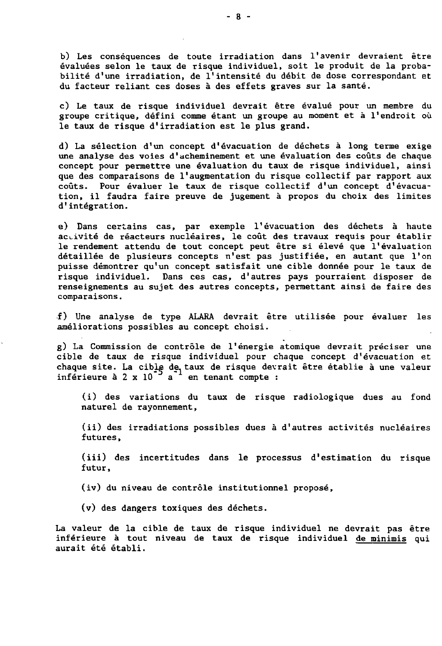b) Les conséquences de toute irradiation dans l'avenir devraient être évaluées selon le taux de risque individuel, soit le produit de la probabilité d'une irradiation, de l'intensité du débit de dose correspondant et du facteur reliant ces doses à des effets graves sur la santé.

c) Le taux de risque individuel devrait être évalué pour un membre du groupe critique, défini comme étant un groupe au moment et à l'endroit où le taux de risque d'irradiation est le plus grand.

d) La sélection d'un concept d'évacuation de déchets à long terme exige une analyse des voies d'acheminement et une évaluation des coûts de chaque concept pour permettre une évaluation du taux de risque individuel, ainsi que des comparaisons de l'augmentation du risque collectif par rapport aux coûts. Pour évaluer le taux de risque collectif d'un concept d'évacuation, il faudra faire preuve de jugement à propos du choix des limites d'intégration.

e) Dans certains cas, par exemple l'évacuation des déchets à haute activité de réacteurs nucléaires, le coût des travaux requis pour établir le rendement attendu de tout concept peut être si élevé que l'évaluation détaillée de plusieurs concepts n'est pas justifiée, en autant que l'on puisse démontrer qu'un concept satisfait une cible donnée pour le taux de risque individuel. Dans ces cas, d'autres pays pourraient disposer de renseignements au sujet des autres concepts, permettant ainsi de faire des comparaisons.

•f) Une analyse de type ALARA devrait être utilisée pour évaluer les améliorations possibles au concept choisi.

g) La Commission de contrôle de l'énergie atomique devrait préciser une cible de taux de risque individuel pour chaque concept d'évacuation et chaque site. La cible de taux de risque devrait être établie à une valeur inférieure à 2 x  $10^{-3}$  a<sup>-1</sup> en tenant compte :

(i) des variations du taux de risque radiologique dues au fond naturel de rayonnement,

(ii) des irradiations possibles dues à d'autres activités nucléaires futures,

(iii) des incertitudes dans le processus d'estimation du risque futur,

(iv) du niveau de contrôle institutionnel proposé,

(v) des dangers toxiques des déchets.

La valeur de la cible de taux de risque individuel ne devrait pas être inférieure à tout niveau de taux de risque individuel de minimis qui aurait été établi.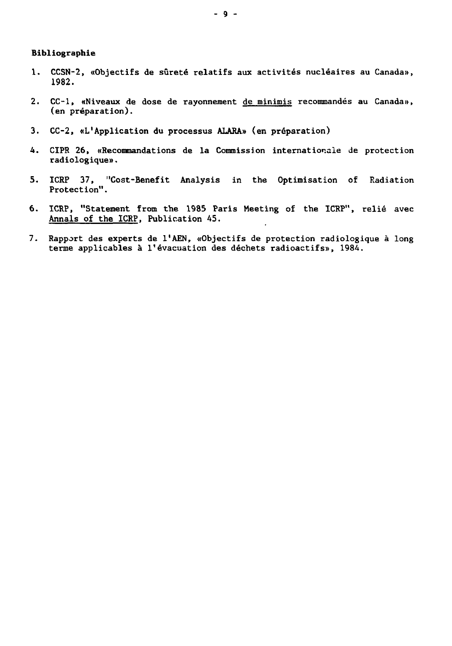#### Bibliographie

- 1. CCSN-2, «Objectifs de sûreté relatifs aux activités nucléaires au Canada», 1982.
- 2. CC-1, «Niveaux de dose de rayonnement de minimis recommandés au Canada», (en préparation).
- 3. CC-2, «L'Application du processus ALABA» (en préparation)
- 4. CIPR 26, «Recommandations de la Commission internationale de protection radiologique».
- 5. ICRP 37, "Cost-Benefit Analysis in the Optimisation of Radiation Protection".
- 6. ICRP, "Statement from the 1985 Paris Meeting of the ICRP", relié avec Annals of the ICRP, Publication 45.
- 7. Rapport des experts de l'AEN, «Objectifs de protection radiologique à long terme applicables à l'évacuation des déchets radioactifs», 1984.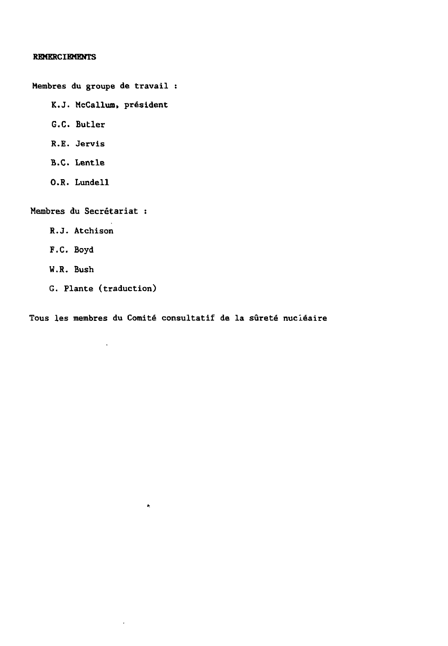#### **REMERCIEMENTS**

Membres du groupe de travail :

- K.J. McCallum, président
- G.C. Butler
- R.E. Jervis
- B.C. Lentle
- O.R. Lundell

Membres du Secrétariat :

- R.J. Atchison
- F.C. Boyd
- W.R. Bush
- G. Plante (traduction)

 $\hat{\mathbf{r}}$ 

Tous les membres du Comité consultatif de la sûreté nucléaire

 $\bullet,$ 

 $\overline{a}$